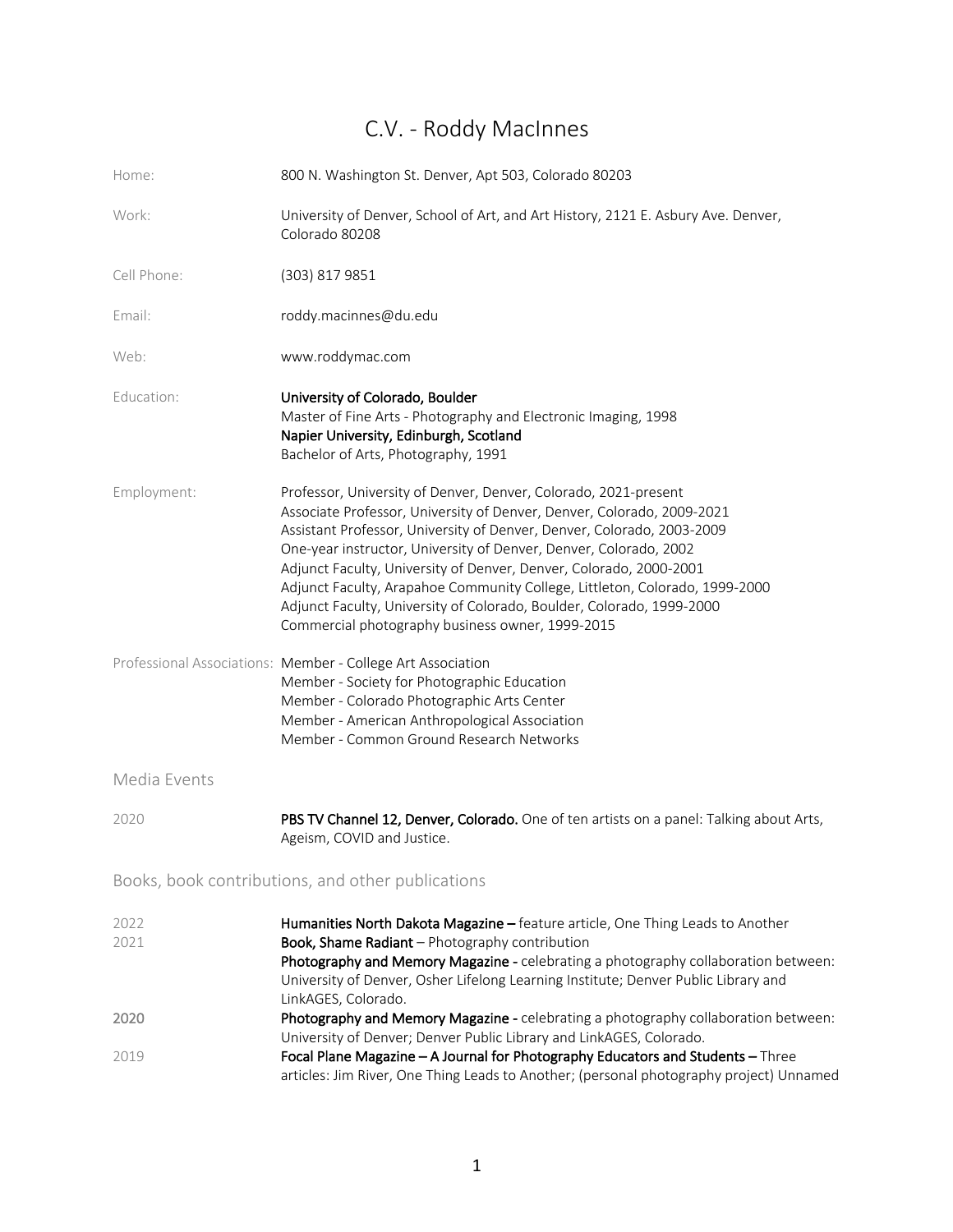# C.V. - Roddy MacInnes

| Home:                                             | 800 N. Washington St. Denver, Apt 503, Colorado 80203                                                                                                                                                                                                                                                                                                                                                                                                                                                                                                                      |  |
|---------------------------------------------------|----------------------------------------------------------------------------------------------------------------------------------------------------------------------------------------------------------------------------------------------------------------------------------------------------------------------------------------------------------------------------------------------------------------------------------------------------------------------------------------------------------------------------------------------------------------------------|--|
| Work:                                             | University of Denver, School of Art, and Art History, 2121 E. Asbury Ave. Denver,<br>Colorado 80208                                                                                                                                                                                                                                                                                                                                                                                                                                                                        |  |
| Cell Phone:                                       | (303) 817 9851                                                                                                                                                                                                                                                                                                                                                                                                                                                                                                                                                             |  |
| Email:                                            | roddy.macinnes@du.edu                                                                                                                                                                                                                                                                                                                                                                                                                                                                                                                                                      |  |
| Web:                                              | www.roddymac.com                                                                                                                                                                                                                                                                                                                                                                                                                                                                                                                                                           |  |
| Education:                                        | University of Colorado, Boulder<br>Master of Fine Arts - Photography and Electronic Imaging, 1998<br>Napier University, Edinburgh, Scotland<br>Bachelor of Arts, Photography, 1991                                                                                                                                                                                                                                                                                                                                                                                         |  |
| Employment:                                       | Professor, University of Denver, Denver, Colorado, 2021-present<br>Associate Professor, University of Denver, Denver, Colorado, 2009-2021<br>Assistant Professor, University of Denver, Denver, Colorado, 2003-2009<br>One-year instructor, University of Denver, Denver, Colorado, 2002<br>Adjunct Faculty, University of Denver, Denver, Colorado, 2000-2001<br>Adjunct Faculty, Arapahoe Community College, Littleton, Colorado, 1999-2000<br>Adjunct Faculty, University of Colorado, Boulder, Colorado, 1999-2000<br>Commercial photography business owner, 1999-2015 |  |
|                                                   | Professional Associations: Member - College Art Association<br>Member - Society for Photographic Education<br>Member - Colorado Photographic Arts Center<br>Member - American Anthropological Association<br>Member - Common Ground Research Networks                                                                                                                                                                                                                                                                                                                      |  |
| Media Events                                      |                                                                                                                                                                                                                                                                                                                                                                                                                                                                                                                                                                            |  |
| 2020                                              | PBS TV Channel 12, Denver, Colorado. One of ten artists on a panel: Talking about Arts,<br>Ageism, COVID and Justice.                                                                                                                                                                                                                                                                                                                                                                                                                                                      |  |
| Books, book contributions, and other publications |                                                                                                                                                                                                                                                                                                                                                                                                                                                                                                                                                                            |  |
| 2022<br>2021                                      | Humanities North Dakota Magazine - feature article, One Thing Leads to Another<br>Book, Shame Radiant - Photography contribution<br>Photography and Memory Magazine - celebrating a photography collaboration between:<br>University of Denver, Osher Lifelong Learning Institute; Denver Public Library and<br>LinkAGES, Colorado.                                                                                                                                                                                                                                        |  |
| 2020                                              | Photography and Memory Magazine - celebrating a photography collaboration between:<br>University of Denver; Denver Public Library and LinkAGES, Colorado.                                                                                                                                                                                                                                                                                                                                                                                                                  |  |
| 2019                                              | Focal Plane Magazine - A Journal for Photography Educators and Students - Three<br>articles: Jim River, One Thing Leads to Another; (personal photography project) Unnamed                                                                                                                                                                                                                                                                                                                                                                                                 |  |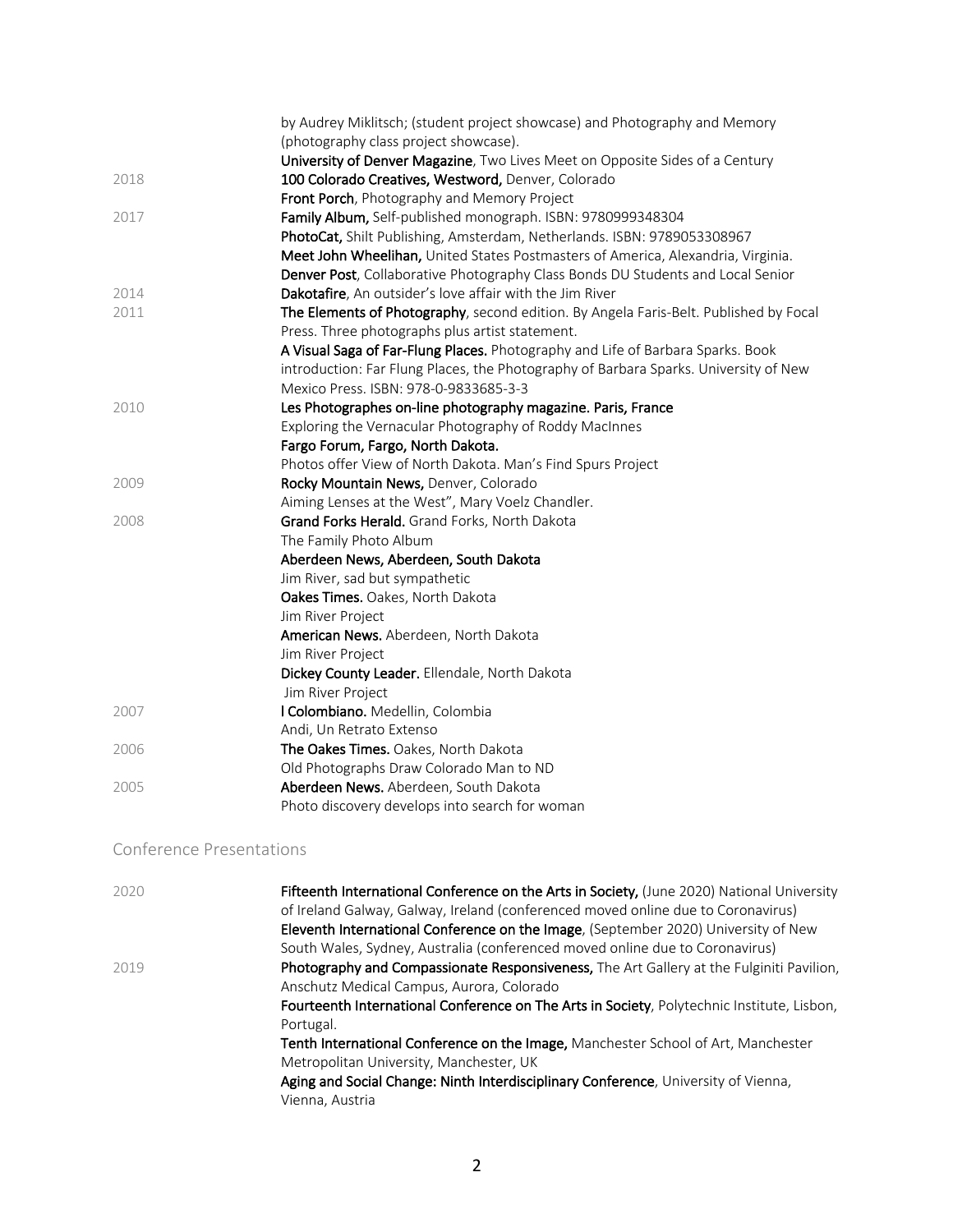|      | by Audrey Miklitsch; (student project showcase) and Photography and Memory            |
|------|---------------------------------------------------------------------------------------|
|      | (photography class project showcase).                                                 |
|      | University of Denver Magazine, Two Lives Meet on Opposite Sides of a Century          |
| 2018 | 100 Colorado Creatives, Westword, Denver, Colorado                                    |
|      | Front Porch, Photography and Memory Project                                           |
| 2017 | Family Album, Self-published monograph. ISBN: 9780999348304                           |
|      | PhotoCat, Shilt Publishing, Amsterdam, Netherlands. ISBN: 9789053308967               |
|      | Meet John Wheelihan, United States Postmasters of America, Alexandria, Virginia.      |
|      | Denver Post, Collaborative Photography Class Bonds DU Students and Local Senior       |
| 2014 | Dakotafire, An outsider's love affair with the Jim River                              |
| 2011 | The Elements of Photography, second edition. By Angela Faris-Belt. Published by Focal |
|      | Press. Three photographs plus artist statement.                                       |
|      | A Visual Saga of Far-Flung Places. Photography and Life of Barbara Sparks. Book       |
|      | introduction: Far Flung Places, the Photography of Barbara Sparks. University of New  |
|      | Mexico Press. ISBN: 978-0-9833685-3-3                                                 |
| 2010 | Les Photographes on-line photography magazine. Paris, France                          |
|      | Exploring the Vernacular Photography of Roddy MacInnes                                |
|      | Fargo Forum, Fargo, North Dakota.                                                     |
|      | Photos offer View of North Dakota. Man's Find Spurs Project                           |
| 2009 | Rocky Mountain News, Denver, Colorado                                                 |
|      | Aiming Lenses at the West", Mary Voelz Chandler.                                      |
| 2008 | Grand Forks Herald. Grand Forks, North Dakota                                         |
|      | The Family Photo Album                                                                |
|      | Aberdeen News, Aberdeen, South Dakota                                                 |
|      | Jim River, sad but sympathetic                                                        |
|      | Oakes Times. Oakes, North Dakota                                                      |
|      | Jim River Project                                                                     |
|      | American News. Aberdeen, North Dakota                                                 |
|      | Jim River Project                                                                     |
|      | Dickey County Leader. Ellendale, North Dakota                                         |
|      | Jim River Project                                                                     |
| 2007 | I Colombiano. Medellin, Colombia                                                      |
|      | Andi, Un Retrato Extenso                                                              |
| 2006 | The Oakes Times. Oakes, North Dakota                                                  |
|      | Old Photographs Draw Colorado Man to ND                                               |
| 2005 | Aberdeen News. Aberdeen, South Dakota                                                 |
|      | Photo discovery develops into search for woman                                        |

### Conference Presentations

| 2020 | Fifteenth International Conference on the Arts in Society, (June 2020) National University<br>of Ireland Galway, Galway, Ireland (conferenced moved online due to Coronavirus) |
|------|--------------------------------------------------------------------------------------------------------------------------------------------------------------------------------|
|      | Eleventh International Conference on the Image, (September 2020) University of New                                                                                             |
|      | South Wales, Sydney, Australia (conferenced moved online due to Coronavirus)                                                                                                   |
| 2019 | Photography and Compassionate Responsiveness, The Art Gallery at the Fulginiti Pavilion,                                                                                       |
|      | Anschutz Medical Campus, Aurora, Colorado                                                                                                                                      |
|      | Fourteenth International Conference on The Arts in Society, Polytechnic Institute, Lisbon,                                                                                     |
|      | Portugal.                                                                                                                                                                      |
|      | Tenth International Conference on the Image, Manchester School of Art, Manchester                                                                                              |
|      | Metropolitan University, Manchester, UK                                                                                                                                        |
|      | Aging and Social Change: Ninth Interdisciplinary Conference, University of Vienna,                                                                                             |
|      | Vienna, Austria                                                                                                                                                                |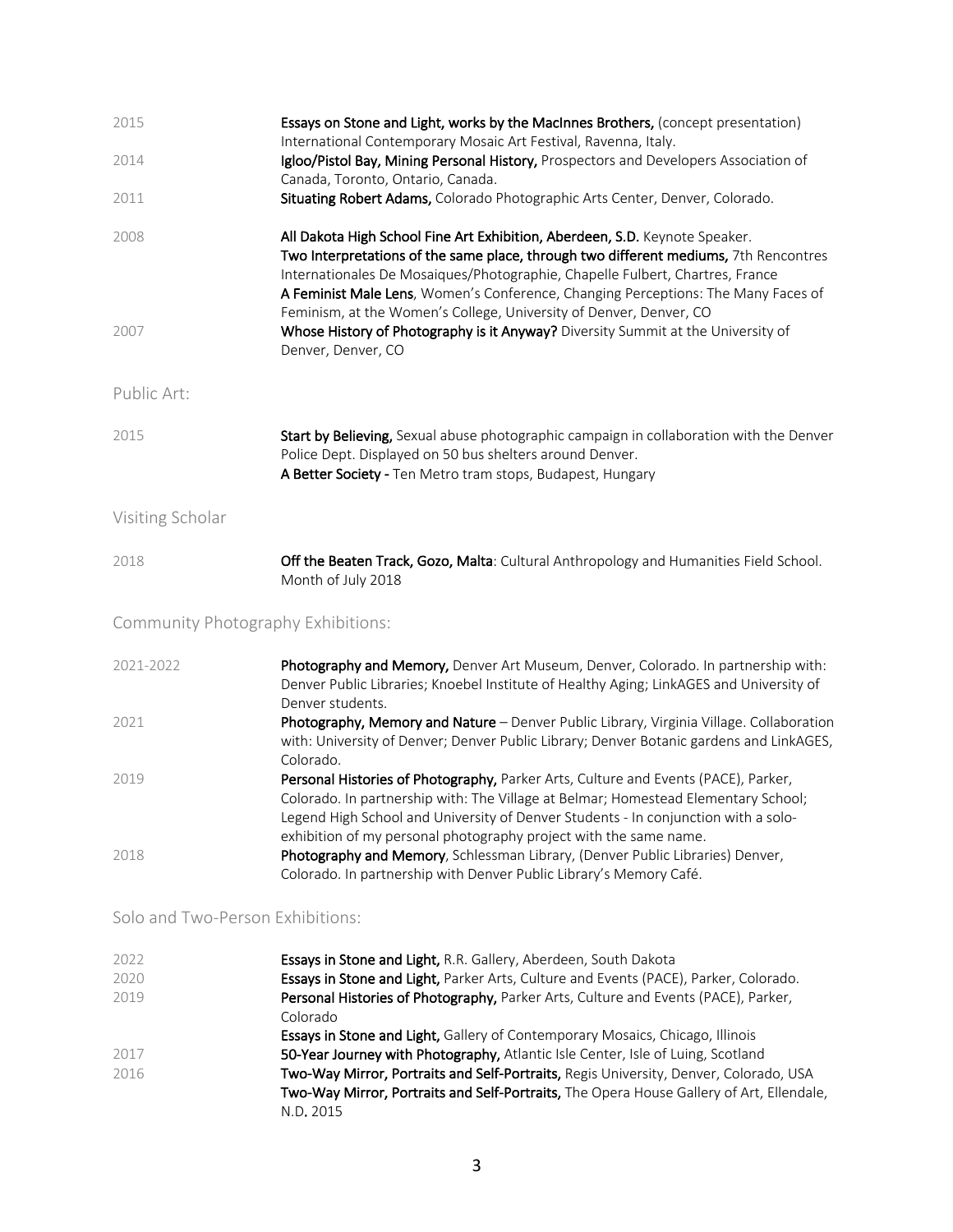| 2015                               | Essays on Stone and Light, works by the MacInnes Brothers, (concept presentation)<br>International Contemporary Mosaic Art Festival, Ravenna, Italy.                                                                                                                                                                                      |
|------------------------------------|-------------------------------------------------------------------------------------------------------------------------------------------------------------------------------------------------------------------------------------------------------------------------------------------------------------------------------------------|
| 2014                               | Igloo/Pistol Bay, Mining Personal History, Prospectors and Developers Association of<br>Canada, Toronto, Ontario, Canada.                                                                                                                                                                                                                 |
| 2011                               | Situating Robert Adams, Colorado Photographic Arts Center, Denver, Colorado.                                                                                                                                                                                                                                                              |
| 2008                               | All Dakota High School Fine Art Exhibition, Aberdeen, S.D. Keynote Speaker.<br>Two Interpretations of the same place, through two different mediums, 7th Rencontres<br>Internationales De Mosaiques/Photographie, Chapelle Fulbert, Chartres, France<br>A Feminist Male Lens, Women's Conference, Changing Perceptions: The Many Faces of |
| 2007                               | Feminism, at the Women's College, University of Denver, Denver, CO<br>Whose History of Photography is it Anyway? Diversity Summit at the University of<br>Denver, Denver, CO                                                                                                                                                              |
| Public Art:                        |                                                                                                                                                                                                                                                                                                                                           |
| 2015                               | Start by Believing, Sexual abuse photographic campaign in collaboration with the Denver<br>Police Dept. Displayed on 50 bus shelters around Denver.<br>A Better Society - Ten Metro tram stops, Budapest, Hungary                                                                                                                         |
| Visiting Scholar                   |                                                                                                                                                                                                                                                                                                                                           |
| 2018                               | Off the Beaten Track, Gozo, Malta: Cultural Anthropology and Humanities Field School.<br>Month of July 2018                                                                                                                                                                                                                               |
| Community Photography Exhibitions: |                                                                                                                                                                                                                                                                                                                                           |
| 2021-2022                          | Photography and Memory, Denver Art Museum, Denver, Colorado. In partnership with:<br>Denver Public Libraries; Knoebel Institute of Healthy Aging; LinkAGES and University of<br>Denver students.                                                                                                                                          |
| 2021                               | Photography, Memory and Nature - Denver Public Library, Virginia Village. Collaboration<br>with: University of Denver; Denver Public Library; Denver Botanic gardens and LinkAGES,<br>Colorado.                                                                                                                                           |
| $\cap$ $\cap$ $\cap$               | $\blacksquare$<br>$\blacksquare$                                                                                                                                                                                                                                                                                                          |

- 2019 **Personal Histories of Photography, Parker Arts, Culture and Events (PACE), Parker,** Colorado. In partnership with: The Village at Belmar; Homestead Elementary School; Legend High School and University of Denver Students - In conjunction with a soloexhibition of my personal photography project with the same name. 2018 Photography and Memory, Schlessman Library, (Denver Public Libraries) Denver,
- Colorado. In partnership with Denver Public Library's Memory Café.

## Solo and Two-Person Exhibitions:

| 2022 | Essays in Stone and Light, R.R. Gallery, Aberdeen, South Dakota                          |
|------|------------------------------------------------------------------------------------------|
| 2020 | Essays in Stone and Light, Parker Arts, Culture and Events (PACE), Parker, Colorado.     |
| 2019 | Personal Histories of Photography, Parker Arts, Culture and Events (PACE), Parker,       |
|      | Colorado                                                                                 |
|      | <b>Essays in Stone and Light, Gallery of Contemporary Mosaics, Chicago, Illinois</b>     |
| 2017 | 50-Year Journey with Photography, Atlantic Isle Center, Isle of Luing, Scotland          |
| 2016 | Two-Way Mirror, Portraits and Self-Portraits, Regis University, Denver, Colorado, USA    |
|      | Two-Way Mirror, Portraits and Self-Portraits, The Opera House Gallery of Art, Ellendale, |
|      | N.D. 2015                                                                                |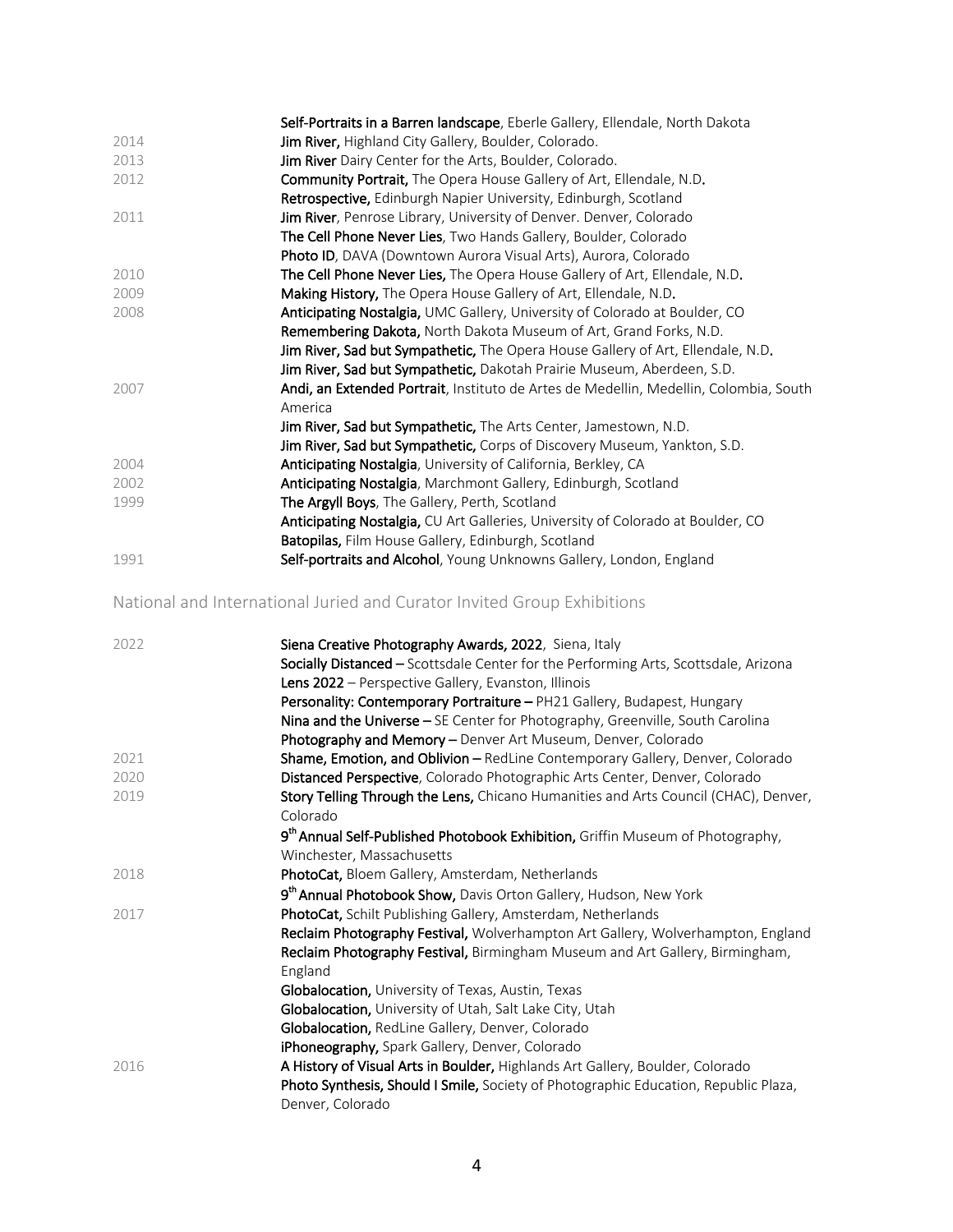|      | Self-Portraits in a Barren landscape, Eberle Gallery, Ellendale, North Dakota         |
|------|---------------------------------------------------------------------------------------|
| 2014 | Jim River, Highland City Gallery, Boulder, Colorado.                                  |
| 2013 | Jim River Dairy Center for the Arts, Boulder, Colorado.                               |
| 2012 | <b>Community Portrait,</b> The Opera House Gallery of Art, Ellendale, N.D.            |
|      | Retrospective, Edinburgh Napier University, Edinburgh, Scotland                       |
| 2011 | Jim River, Penrose Library, University of Denver. Denver, Colorado                    |
|      | <b>The Cell Phone Never Lies</b> , Two Hands Gallery, Boulder, Colorado               |
|      | Photo ID, DAVA (Downtown Aurora Visual Arts), Aurora, Colorado                        |
| 2010 | The Cell Phone Never Lies, The Opera House Gallery of Art, Ellendale, N.D.            |
| 2009 | Making History, The Opera House Gallery of Art, Ellendale, N.D.                       |
| 2008 | Anticipating Nostalgia, UMC Gallery, University of Colorado at Boulder, CO            |
|      | Remembering Dakota, North Dakota Museum of Art, Grand Forks, N.D.                     |
|      | Jim River, Sad but Sympathetic, The Opera House Gallery of Art, Ellendale, N.D.       |
|      | <b>Jim River, Sad but Sympathetic, Dakotah Prairie Museum, Aberdeen, S.D.</b>         |
| 2007 | Andi, an Extended Portrait, Instituto de Artes de Medellin, Medellin, Colombia, South |
|      | America                                                                               |
|      | Jim River, Sad but Sympathetic, The Arts Center, Jamestown, N.D.                      |
|      | Jim River, Sad but Sympathetic, Corps of Discovery Museum, Yankton, S.D.              |
| 2004 | Anticipating Nostalgia, University of California, Berkley, CA                         |
| 2002 | Anticipating Nostalgia, Marchmont Gallery, Edinburgh, Scotland                        |
| 1999 | The Argyll Boys, The Gallery, Perth, Scotland                                         |
|      | Anticipating Nostalgia, CU Art Galleries, University of Colorado at Boulder, CO       |
|      | Batopilas, Film House Gallery, Edinburgh, Scotland                                    |
| 1991 | Self-portraits and Alcohol, Young Unknowns Gallery, London, England                   |

## National and International Juried and Curator Invited Group Exhibitions

| 2022 | Siena Creative Photography Awards, 2022, Siena, Italy<br>Socially Distanced - Scottsdale Center for the Performing Arts, Scottsdale, Arizona<br>Lens 2022 - Perspective Gallery, Evanston, Illinois<br>Personality: Contemporary Portraiture - PH21 Gallery, Budapest, Hungary<br>Nina and the Universe - SE Center for Photography, Greenville, South Carolina<br>Photography and Memory - Denver Art Museum, Denver, Colorado |
|------|---------------------------------------------------------------------------------------------------------------------------------------------------------------------------------------------------------------------------------------------------------------------------------------------------------------------------------------------------------------------------------------------------------------------------------|
| 2021 | Shame, Emotion, and Oblivion - RedLine Contemporary Gallery, Denver, Colorado                                                                                                                                                                                                                                                                                                                                                   |
| 2020 | Distanced Perspective, Colorado Photographic Arts Center, Denver, Colorado                                                                                                                                                                                                                                                                                                                                                      |
| 2019 | Story Telling Through the Lens, Chicano Humanities and Arts Council (CHAC), Denver,<br>Colorado                                                                                                                                                                                                                                                                                                                                 |
|      | 9 <sup>th</sup> Annual Self-Published Photobook Exhibition, Griffin Museum of Photography,<br>Winchester, Massachusetts                                                                                                                                                                                                                                                                                                         |
| 2018 | PhotoCat, Bloem Gallery, Amsterdam, Netherlands                                                                                                                                                                                                                                                                                                                                                                                 |
|      | 9 <sup>th</sup> Annual Photobook Show, Davis Orton Gallery, Hudson, New York                                                                                                                                                                                                                                                                                                                                                    |
| 2017 | PhotoCat, Schilt Publishing Gallery, Amsterdam, Netherlands                                                                                                                                                                                                                                                                                                                                                                     |
|      | Reclaim Photography Festival, Wolverhampton Art Gallery, Wolverhampton, England<br>Reclaim Photography Festival, Birmingham Museum and Art Gallery, Birmingham,<br>England                                                                                                                                                                                                                                                      |
|      | <b>Globalocation, University of Texas, Austin, Texas</b>                                                                                                                                                                                                                                                                                                                                                                        |
|      | Globalocation, University of Utah, Salt Lake City, Utah                                                                                                                                                                                                                                                                                                                                                                         |
|      | Globalocation, RedLine Gallery, Denver, Colorado                                                                                                                                                                                                                                                                                                                                                                                |
|      | iPhoneography, Spark Gallery, Denver, Colorado                                                                                                                                                                                                                                                                                                                                                                                  |
| 2016 | A History of Visual Arts in Boulder, Highlands Art Gallery, Boulder, Colorado                                                                                                                                                                                                                                                                                                                                                   |
|      | Photo Synthesis, Should I Smile, Society of Photographic Education, Republic Plaza,<br>Denver, Colorado                                                                                                                                                                                                                                                                                                                         |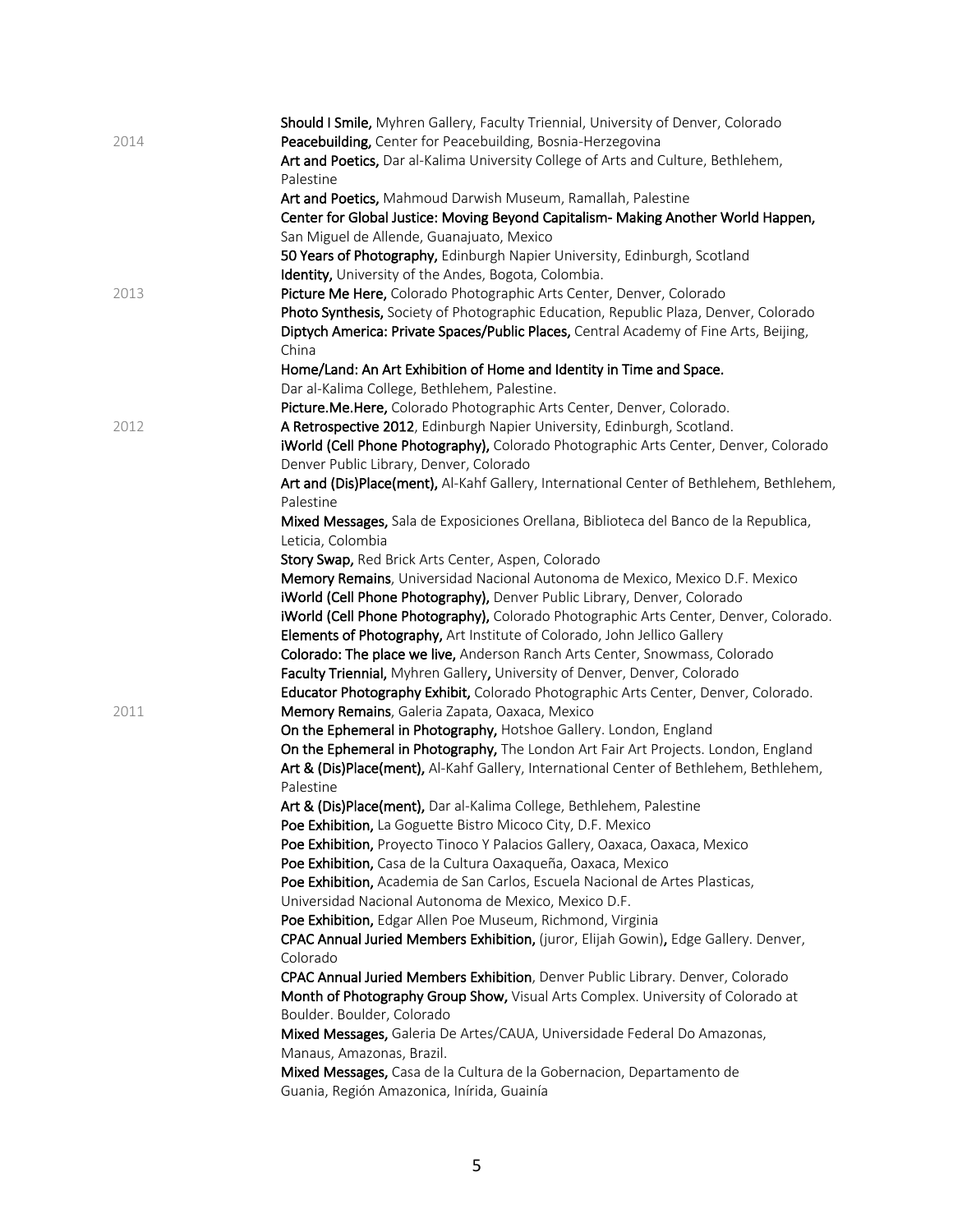|      | Should I Smile, Myhren Gallery, Faculty Triennial, University of Denver, Colorado        |
|------|------------------------------------------------------------------------------------------|
| 2014 | Peacebuilding, Center for Peacebuilding, Bosnia-Herzegovina                              |
|      | Art and Poetics, Dar al-Kalima University College of Arts and Culture, Bethlehem,        |
|      | Palestine                                                                                |
|      | Art and Poetics, Mahmoud Darwish Museum, Ramallah, Palestine                             |
|      | Center for Global Justice: Moving Beyond Capitalism- Making Another World Happen,        |
|      | San Miguel de Allende, Guanajuato, Mexico                                                |
|      | 50 Years of Photography, Edinburgh Napier University, Edinburgh, Scotland                |
|      | Identity, University of the Andes, Bogota, Colombia.                                     |
|      |                                                                                          |
| 2013 | Picture Me Here, Colorado Photographic Arts Center, Denver, Colorado                     |
|      | Photo Synthesis, Society of Photographic Education, Republic Plaza, Denver, Colorado     |
|      | Diptych America: Private Spaces/Public Places, Central Academy of Fine Arts, Beijing,    |
|      | China                                                                                    |
|      | Home/Land: An Art Exhibition of Home and Identity in Time and Space.                     |
|      | Dar al-Kalima College, Bethlehem, Palestine.                                             |
|      | Picture.Me.Here, Colorado Photographic Arts Center, Denver, Colorado.                    |
| 2012 | A Retrospective 2012, Edinburgh Napier University, Edinburgh, Scotland.                  |
|      | iWorld (Cell Phone Photography), Colorado Photographic Arts Center, Denver, Colorado     |
|      | Denver Public Library, Denver, Colorado                                                  |
|      | Art and (Dis)Place(ment), Al-Kahf Gallery, International Center of Bethlehem, Bethlehem, |
|      | Palestine                                                                                |
|      | Mixed Messages, Sala de Exposiciones Orellana, Biblioteca del Banco de la Republica,     |
|      | Leticia, Colombia                                                                        |
|      | Story Swap, Red Brick Arts Center, Aspen, Colorado                                       |
|      | Memory Remains, Universidad Nacional Autonoma de Mexico, Mexico D.F. Mexico              |
|      | iWorld (Cell Phone Photography), Denver Public Library, Denver, Colorado                 |
|      | iWorld (Cell Phone Photography), Colorado Photographic Arts Center, Denver, Colorado.    |
|      | Elements of Photography, Art Institute of Colorado, John Jellico Gallery                 |
|      | Colorado: The place we live, Anderson Ranch Arts Center, Snowmass, Colorado              |
|      | Faculty Triennial, Myhren Gallery, University of Denver, Denver, Colorado                |
|      | Educator Photography Exhibit, Colorado Photographic Arts Center, Denver, Colorado.       |
| 2011 | Memory Remains, Galeria Zapata, Oaxaca, Mexico                                           |
|      | On the Ephemeral in Photography, Hotshoe Gallery. London, England                        |
|      | On the Ephemeral in Photography, The London Art Fair Art Projects. London, England       |
|      | Art & (Dis)Place(ment), Al-Kahf Gallery, International Center of Bethlehem, Bethlehem,   |
|      | Palestine                                                                                |
|      | Art & (Dis)Place(ment), Dar al-Kalima College, Bethlehem, Palestine                      |
|      |                                                                                          |
|      | Poe Exhibition, La Goguette Bistro Micoco City, D.F. Mexico                              |
|      | Poe Exhibition, Proyecto Tinoco Y Palacios Gallery, Oaxaca, Oaxaca, Mexico               |
|      | Poe Exhibition, Casa de la Cultura Oaxaqueña, Oaxaca, Mexico                             |
|      | Poe Exhibition, Academia de San Carlos, Escuela Nacional de Artes Plasticas,             |
|      | Universidad Nacional Autonoma de Mexico, Mexico D.F.                                     |
|      | Poe Exhibition, Edgar Allen Poe Museum, Richmond, Virginia                               |
|      | CPAC Annual Juried Members Exhibition, (juror, Elijah Gowin), Edge Gallery. Denver,      |
|      | Colorado                                                                                 |
|      | CPAC Annual Juried Members Exhibition, Denver Public Library. Denver, Colorado           |
|      | Month of Photography Group Show, Visual Arts Complex. University of Colorado at          |
|      | Boulder. Boulder, Colorado                                                               |
|      | Mixed Messages, Galeria De Artes/CAUA, Universidade Federal Do Amazonas,                 |
|      | Manaus, Amazonas, Brazil.                                                                |
|      | Mixed Messages, Casa de la Cultura de la Gobernacion, Departamento de                    |
|      | Guania, Región Amazonica, Inírida, Guainía                                               |
|      |                                                                                          |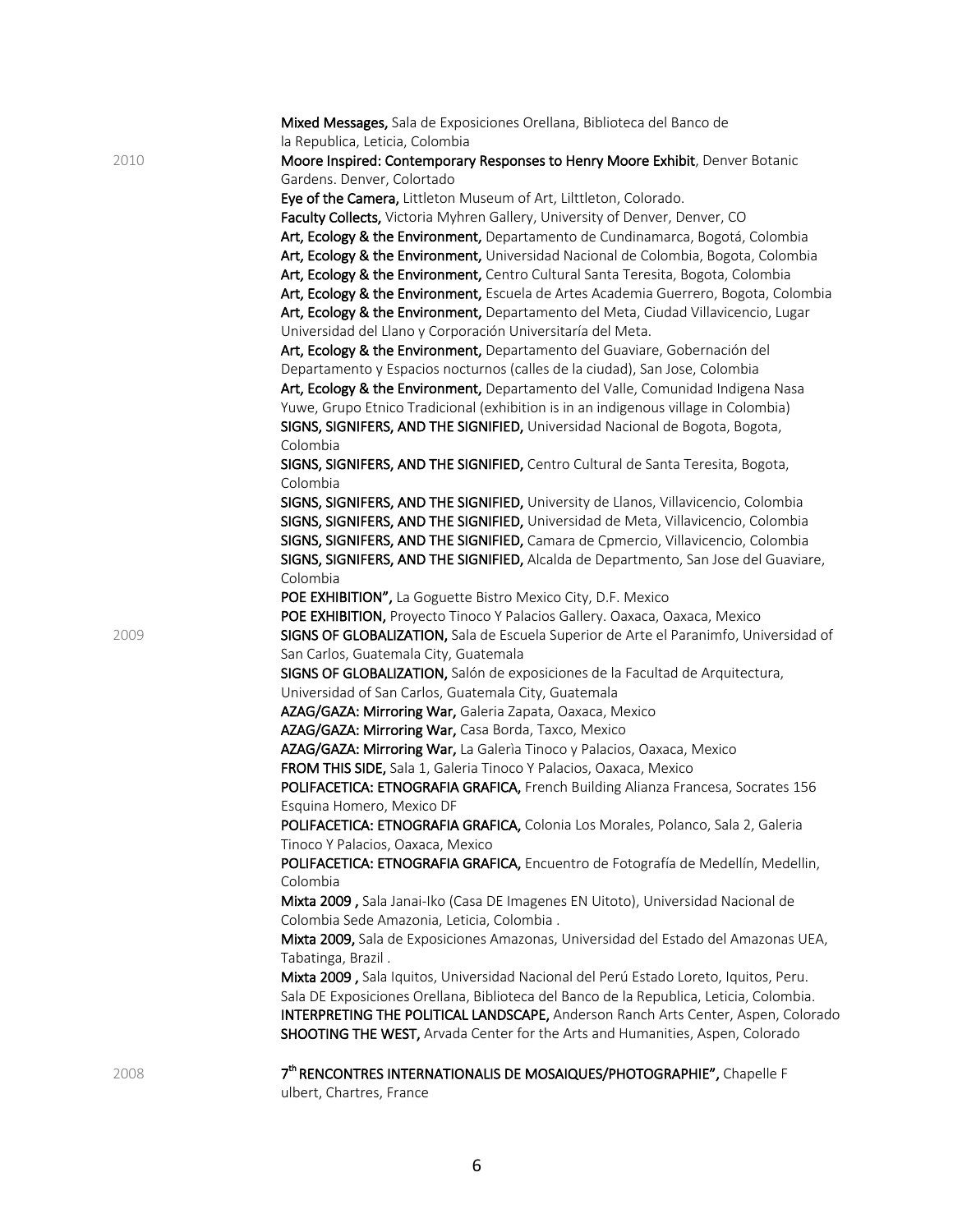|      | Mixed Messages, Sala de Exposiciones Orellana, Biblioteca del Banco de                                           |
|------|------------------------------------------------------------------------------------------------------------------|
| 2010 | la Republica, Leticia, Colombia<br>Moore Inspired: Contemporary Responses to Henry Moore Exhibit, Denver Botanic |
|      | Gardens. Denver, Colortado                                                                                       |
|      | Eye of the Camera, Littleton Museum of Art, Lilttleton, Colorado.                                                |
|      | Faculty Collects, Victoria Myhren Gallery, University of Denver, Denver, CO                                      |
|      | Art, Ecology & the Environment, Departamento de Cundinamarca, Bogotá, Colombia                                   |
|      | Art, Ecology & the Environment, Universidad Nacional de Colombia, Bogota, Colombia                               |
|      | Art, Ecology & the Environment, Centro Cultural Santa Teresita, Bogota, Colombia                                 |
|      | Art, Ecology & the Environment, Escuela de Artes Academia Guerrero, Bogota, Colombia                             |
|      | Art, Ecology & the Environment, Departamento del Meta, Ciudad Villavicencio, Lugar                               |
|      | Universidad del Llano y Corporación Universitaría del Meta.                                                      |
|      | Art, Ecology & the Environment, Departamento del Guaviare, Gobernación del                                       |
|      | Departamento y Espacios nocturnos (calles de la ciudad), San Jose, Colombia                                      |
|      | Art, Ecology & the Environment, Departamento del Valle, Comunidad Indigena Nasa                                  |
|      | Yuwe, Grupo Etnico Tradicional (exhibition is in an indigenous village in Colombia)                              |
|      | SIGNS, SIGNIFERS, AND THE SIGNIFIED, Universidad Nacional de Bogota, Bogota,                                     |
|      | Colombia                                                                                                         |
|      | SIGNS, SIGNIFERS, AND THE SIGNIFIED, Centro Cultural de Santa Teresita, Bogota,                                  |
|      | Colombia                                                                                                         |
|      | SIGNS, SIGNIFERS, AND THE SIGNIFIED, University de Llanos, Villavicencio, Colombia                               |
|      | SIGNS, SIGNIFERS, AND THE SIGNIFIED, Universidad de Meta, Villavicencio, Colombia                                |
|      | SIGNS, SIGNIFERS, AND THE SIGNIFIED, Camara de Cpmercio, Villavicencio, Colombia                                 |
|      | SIGNS, SIGNIFERS, AND THE SIGNIFIED, Alcalda de Departmento, San Jose del Guaviare,                              |
|      | Colombia                                                                                                         |
|      | POE EXHIBITION", La Goguette Bistro Mexico City, D.F. Mexico                                                     |
|      | POE EXHIBITION, Proyecto Tinoco Y Palacios Gallery. Oaxaca, Oaxaca, Mexico                                       |
| 2009 | SIGNS OF GLOBALIZATION, Sala de Escuela Superior de Arte el Paranimfo, Universidad of                            |
|      | San Carlos, Guatemala City, Guatemala                                                                            |
|      | SIGNS OF GLOBALIZATION, Salón de exposiciones de la Facultad de Arquitectura,                                    |
|      | Universidad of San Carlos, Guatemala City, Guatemala                                                             |
|      | AZAG/GAZA: Mirroring War, Galeria Zapata, Oaxaca, Mexico                                                         |
|      | AZAG/GAZA: Mirroring War, Casa Borda, Taxco, Mexico                                                              |
|      | AZAG/GAZA: Mirroring War, La Galeria Tinoco y Palacios, Oaxaca, Mexico                                           |
|      | FROM THIS SIDE, Sala 1, Galeria Tinoco Y Palacios, Oaxaca, Mexico                                                |
|      | POLIFACETICA: ETNOGRAFIA GRAFICA, French Building Alianza Francesa, Socrates 156                                 |
|      | Esquina Homero, Mexico DF                                                                                        |
|      | POLIFACETICA: ETNOGRAFIA GRAFICA, Colonia Los Morales, Polanco, Sala 2, Galeria                                  |
|      | Tinoco Y Palacios, Oaxaca, Mexico                                                                                |
|      | POLIFACETICA: ETNOGRAFIA GRAFICA, Encuentro de Fotografía de Medellín, Medellin,                                 |
|      | Colombia                                                                                                         |
|      | Mixta 2009, Sala Janai-Iko (Casa DE Imagenes EN Uitoto), Universidad Nacional de                                 |
|      | Colombia Sede Amazonia, Leticia, Colombia.                                                                       |
|      | Mixta 2009, Sala de Exposiciones Amazonas, Universidad del Estado del Amazonas UEA,                              |
|      | Tabatinga, Brazil.                                                                                               |
|      | Mixta 2009, Sala Iquitos, Universidad Nacional del Perú Estado Loreto, Iquitos, Peru.                            |
|      | Sala DE Exposiciones Orellana, Biblioteca del Banco de la Republica, Leticia, Colombia.                          |
|      | INTERPRETING THE POLITICAL LANDSCAPE, Anderson Ranch Arts Center, Aspen, Colorado                                |
|      | SHOOTING THE WEST, Arvada Center for the Arts and Humanities, Aspen, Colorado                                    |
|      | 7th RENCONTRES INTERNATIONALIS DE MOSAIQUES/PHOTOGRAPHIE", Chapelle F                                            |
| 2008 | ulbert, Chartres, France                                                                                         |
|      |                                                                                                                  |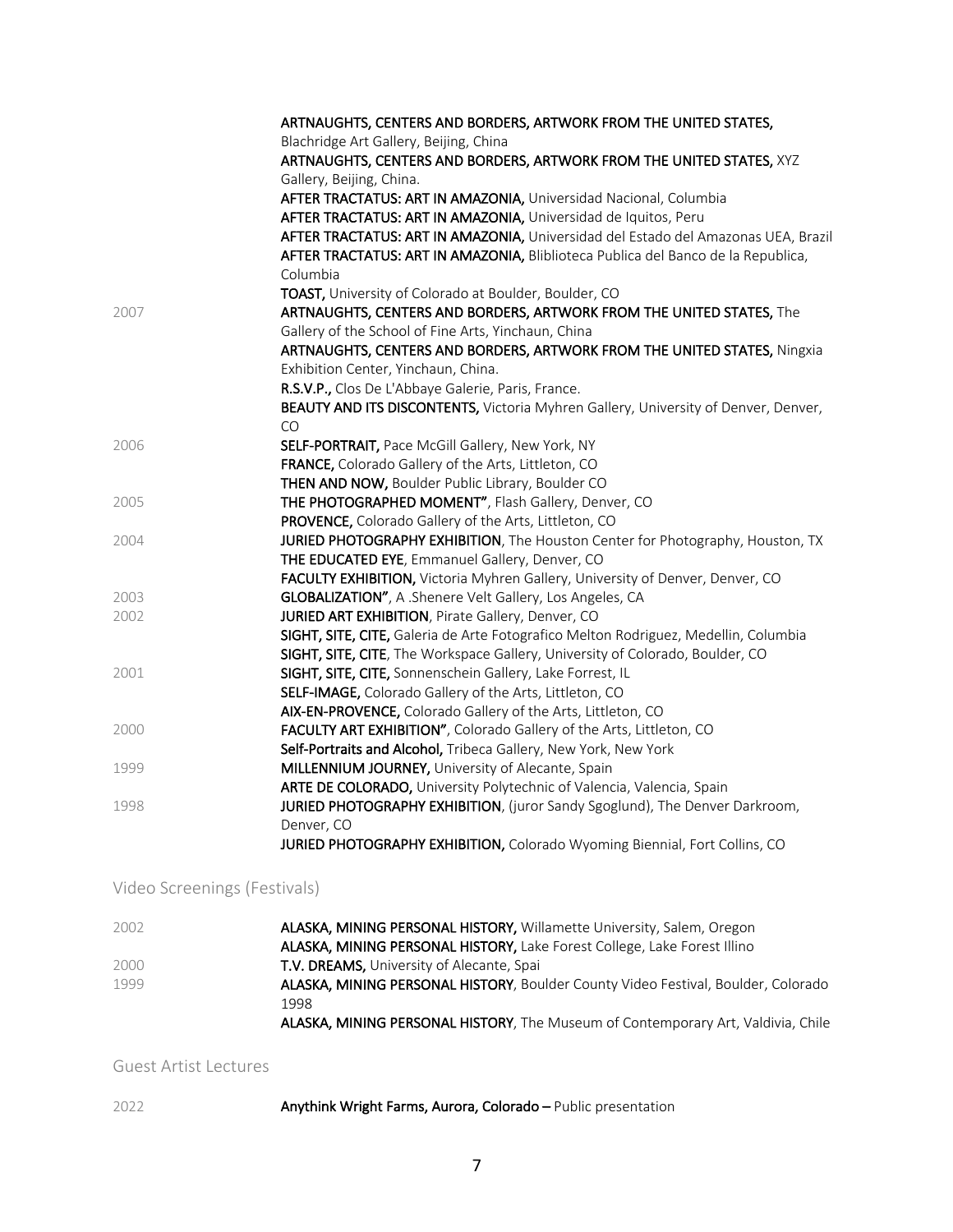|      | ARTNAUGHTS, CENTERS AND BORDERS, ARTWORK FROM THE UNITED STATES,                    |
|------|-------------------------------------------------------------------------------------|
|      | Blachridge Art Gallery, Beijing, China                                              |
|      | ARTNAUGHTS, CENTERS AND BORDERS, ARTWORK FROM THE UNITED STATES, XYZ                |
|      | Gallery, Beijing, China.                                                            |
|      | AFTER TRACTATUS: ART IN AMAZONIA, Universidad Nacional, Columbia                    |
|      | AFTER TRACTATUS: ART IN AMAZONIA, Universidad de Iquitos, Peru                      |
|      | AFTER TRACTATUS: ART IN AMAZONIA, Universidad del Estado del Amazonas UEA, Brazil   |
|      | AFTER TRACTATUS: ART IN AMAZONIA, Bliblioteca Publica del Banco de la Republica,    |
|      | Columbia                                                                            |
|      | TOAST, University of Colorado at Boulder, Boulder, CO                               |
| 2007 | ARTNAUGHTS, CENTERS AND BORDERS, ARTWORK FROM THE UNITED STATES, The                |
|      | Gallery of the School of Fine Arts, Yinchaun, China                                 |
|      | ARTNAUGHTS, CENTERS AND BORDERS, ARTWORK FROM THE UNITED STATES, Ningxia            |
|      | Exhibition Center, Yinchaun, China.                                                 |
|      | R.S.V.P., Clos De L'Abbaye Galerie, Paris, France.                                  |
|      | BEAUTY AND ITS DISCONTENTS, Victoria Myhren Gallery, University of Denver, Denver,  |
|      | CO                                                                                  |
| 2006 | SELF-PORTRAIT, Pace McGill Gallery, New York, NY                                    |
|      | FRANCE, Colorado Gallery of the Arts, Littleton, CO                                 |
|      | THEN AND NOW, Boulder Public Library, Boulder CO                                    |
| 2005 | THE PHOTOGRAPHED MOMENT", Flash Gallery, Denver, CO                                 |
|      | PROVENCE, Colorado Gallery of the Arts, Littleton, CO                               |
| 2004 | JURIED PHOTOGRAPHY EXHIBITION, The Houston Center for Photography, Houston, TX      |
|      | THE EDUCATED EYE, Emmanuel Gallery, Denver, CO                                      |
|      | FACULTY EXHIBITION, Victoria Myhren Gallery, University of Denver, Denver, CO       |
| 2003 | GLOBALIZATION", A .Shenere Velt Gallery, Los Angeles, CA                            |
| 2002 | JURIED ART EXHIBITION, Pirate Gallery, Denver, CO                                   |
|      | SIGHT, SITE, CITE, Galeria de Arte Fotografico Melton Rodriguez, Medellin, Columbia |
|      | SIGHT, SITE, CITE, The Workspace Gallery, University of Colorado, Boulder, CO       |
| 2001 | SIGHT, SITE, CITE, Sonnenschein Gallery, Lake Forrest, IL                           |
|      | SELF-IMAGE, Colorado Gallery of the Arts, Littleton, CO                             |
|      | AIX-EN-PROVENCE, Colorado Gallery of the Arts, Littleton, CO                        |
| 2000 | FACULTY ART EXHIBITION", Colorado Gallery of the Arts, Littleton, CO                |
|      | Self-Portraits and Alcohol, Tribeca Gallery, New York, New York                     |
| 1999 | MILLENNIUM JOURNEY, University of Alecante, Spain                                   |
|      | ARTE DE COLORADO, University Polytechnic of Valencia, Valencia, Spain               |
| 1998 | JURIED PHOTOGRAPHY EXHIBITION, (juror Sandy Sgoglund), The Denver Darkroom,         |
|      | Denver, CO                                                                          |
|      | JURIED PHOTOGRAPHY EXHIBITION, Colorado Wyoming Biennial, Fort Collins, CO          |

## Video Screenings (Festivals)

| ALASKA, MINING PERSONAL HISTORY, Willamette University, Salem, Oregon                    |
|------------------------------------------------------------------------------------------|
| ALASKA, MINING PERSONAL HISTORY, Lake Forest College, Lake Forest Illino                 |
|                                                                                          |
| ALASKA, MINING PERSONAL HISTORY, Boulder County Video Festival, Boulder, Colorado        |
|                                                                                          |
| <b>ALASKA, MINING PERSONAL HISTORY</b> , The Museum of Contemporary Art, Valdivia, Chile |
|                                                                                          |

Guest Artist Lectures

2022 Anythink Wright Farms, Aurora, Colorado – Public presentation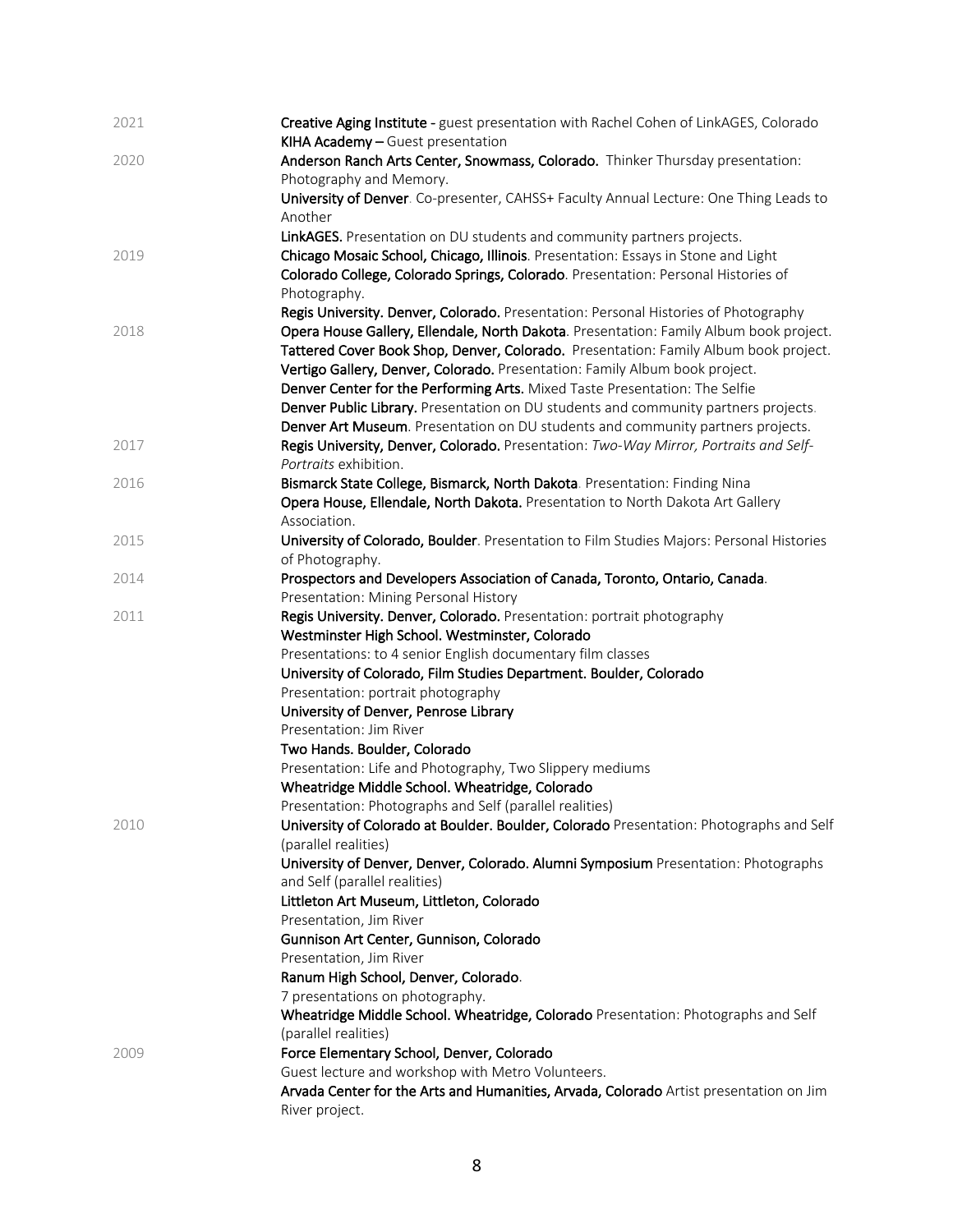| 2021 | Creative Aging Institute - guest presentation with Rachel Cohen of LinkAGES, Colorado<br>KIHA Academy - Guest presentation |
|------|----------------------------------------------------------------------------------------------------------------------------|
| 2020 | Anderson Ranch Arts Center, Snowmass, Colorado. Thinker Thursday presentation:<br>Photography and Memory.                  |
|      | University of Denver. Co-presenter, CAHSS+ Faculty Annual Lecture: One Thing Leads to                                      |
|      | Another                                                                                                                    |
|      | LinkAGES. Presentation on DU students and community partners projects.                                                     |
| 2019 | Chicago Mosaic School, Chicago, Illinois. Presentation: Essays in Stone and Light                                          |
|      | Colorado College, Colorado Springs, Colorado. Presentation: Personal Histories of                                          |
|      |                                                                                                                            |
|      | Photography.<br>Regis University. Denver, Colorado. Presentation: Personal Histories of Photography                        |
| 2018 | Opera House Gallery, Ellendale, North Dakota. Presentation: Family Album book project.                                     |
|      |                                                                                                                            |
|      | Tattered Cover Book Shop, Denver, Colorado. Presentation: Family Album book project.                                       |
|      | Vertigo Gallery, Denver, Colorado. Presentation: Family Album book project.                                                |
|      | Denver Center for the Performing Arts. Mixed Taste Presentation: The Selfie                                                |
|      | Denver Public Library. Presentation on DU students and community partners projects.                                        |
|      | Denver Art Museum. Presentation on DU students and community partners projects.                                            |
| 2017 | Regis University, Denver, Colorado. Presentation: Two-Way Mirror, Portraits and Self-                                      |
|      | Portraits exhibition.                                                                                                      |
| 2016 | Bismarck State College, Bismarck, North Dakota. Presentation: Finding Nina                                                 |
|      | Opera House, Ellendale, North Dakota. Presentation to North Dakota Art Gallery<br>Association.                             |
| 2015 | University of Colorado, Boulder. Presentation to Film Studies Majors: Personal Histories                                   |
|      | of Photography.                                                                                                            |
| 2014 | Prospectors and Developers Association of Canada, Toronto, Ontario, Canada.                                                |
|      | Presentation: Mining Personal History                                                                                      |
| 2011 | Regis University. Denver, Colorado. Presentation: portrait photography                                                     |
|      | Westminster High School. Westminster, Colorado                                                                             |
|      | Presentations: to 4 senior English documentary film classes                                                                |
|      | University of Colorado, Film Studies Department. Boulder, Colorado                                                         |
|      | Presentation: portrait photography                                                                                         |
|      | University of Denver, Penrose Library                                                                                      |
|      | Presentation: Jim River                                                                                                    |
|      | Two Hands. Boulder, Colorado                                                                                               |
|      | Presentation: Life and Photography, Two Slippery mediums                                                                   |
|      | Wheatridge Middle School. Wheatridge, Colorado                                                                             |
|      | Presentation: Photographs and Self (parallel realities)                                                                    |
| 2010 | University of Colorado at Boulder. Boulder, Colorado Presentation: Photographs and Self                                    |
|      | (parallel realities)                                                                                                       |
|      | University of Denver, Denver, Colorado. Alumni Symposium Presentation: Photographs                                         |
|      | and Self (parallel realities)                                                                                              |
|      | Littleton Art Museum, Littleton, Colorado                                                                                  |
|      | Presentation, Jim River                                                                                                    |
|      | Gunnison Art Center, Gunnison, Colorado                                                                                    |
|      | Presentation, Jim River                                                                                                    |
|      | Ranum High School, Denver, Colorado.                                                                                       |
|      | 7 presentations on photography.                                                                                            |
|      | Wheatridge Middle School. Wheatridge, Colorado Presentation: Photographs and Self                                          |
|      | (parallel realities)                                                                                                       |
| 2009 | Force Elementary School, Denver, Colorado                                                                                  |
|      | Guest lecture and workshop with Metro Volunteers.                                                                          |
|      | Arvada Center for the Arts and Humanities, Arvada, Colorado Artist presentation on Jim                                     |
|      | River project.                                                                                                             |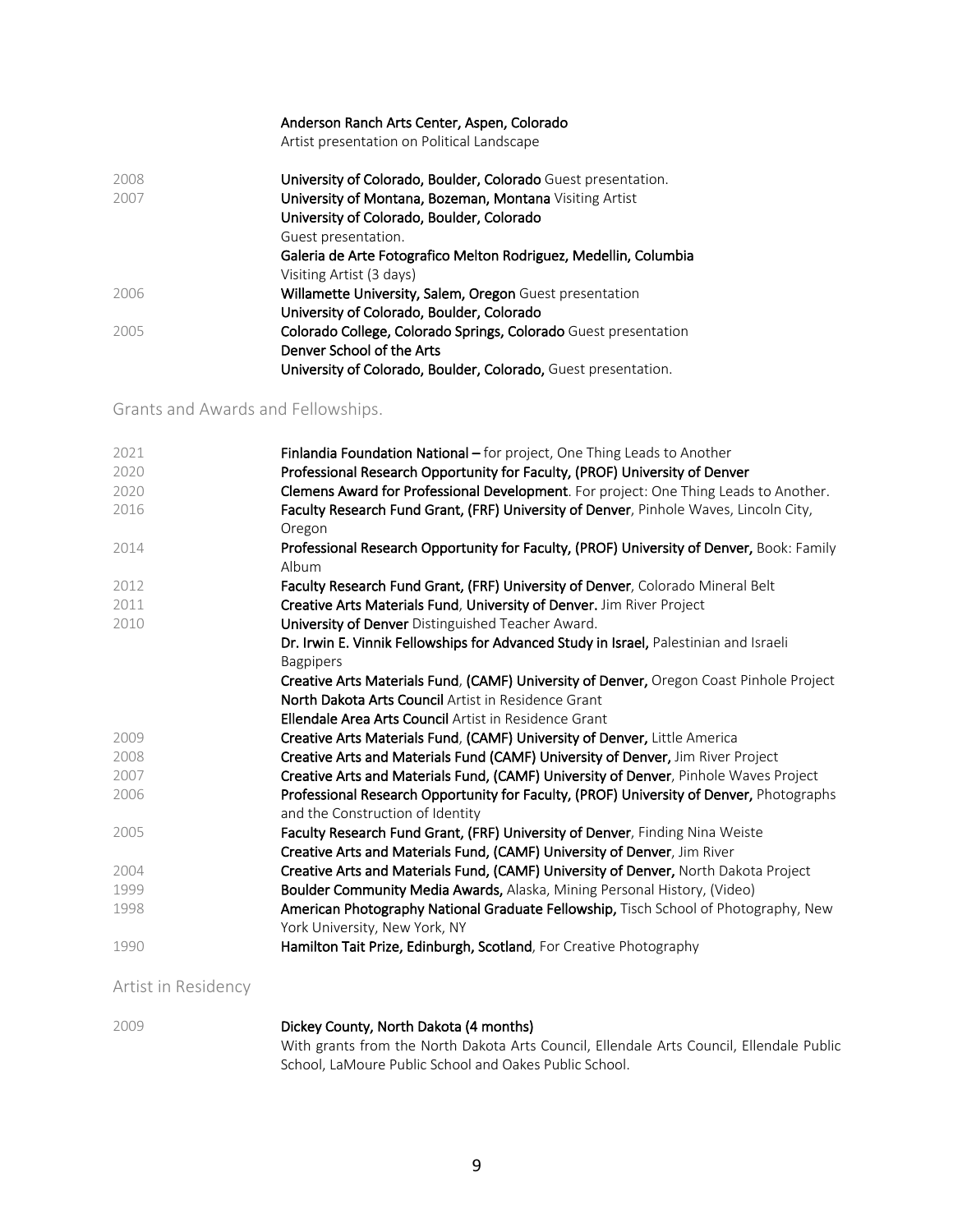#### Anderson Ranch Arts Center, Aspen, Colorado

Artist presentation on Political Landscape

| 2008 | University of Colorado, Boulder, Colorado Guest presentation.    |
|------|------------------------------------------------------------------|
| 2007 | University of Montana, Bozeman, Montana Visiting Artist          |
|      | University of Colorado, Boulder, Colorado                        |
|      | Guest presentation.                                              |
|      | Galeria de Arte Fotografico Melton Rodriguez, Medellin, Columbia |
|      | Visiting Artist (3 days)                                         |
| 2006 | Willamette University, Salem, Oregon Guest presentation          |
|      | University of Colorado, Boulder, Colorado                        |
| 2005 | Colorado College, Colorado Springs, Colorado Guest presentation  |
|      | Denver School of the Arts                                        |
|      | University of Colorado, Boulder, Colorado, Guest presentation.   |

#### Grants and Awards and Fellowships.

| 2021 | Finlandia Foundation National - for project, One Thing Leads to Another                           |
|------|---------------------------------------------------------------------------------------------------|
| 2020 | Professional Research Opportunity for Faculty, (PROF) University of Denver                        |
| 2020 | Clemens Award for Professional Development. For project: One Thing Leads to Another.              |
| 2016 | Faculty Research Fund Grant, (FRF) University of Denver, Pinhole Waves, Lincoln City,             |
|      | Oregon                                                                                            |
| 2014 | Professional Research Opportunity for Faculty, (PROF) University of Denver, Book: Family<br>Album |
| 2012 | Faculty Research Fund Grant, (FRF) University of Denver, Colorado Mineral Belt                    |
| 2011 | Creative Arts Materials Fund, University of Denver. Jim River Project                             |
| 2010 | University of Denver Distinguished Teacher Award.                                                 |
|      | Dr. Irwin E. Vinnik Fellowships for Advanced Study in Israel, Palestinian and Israeli             |
|      | <b>Bagpipers</b>                                                                                  |
|      | Creative Arts Materials Fund, (CAMF) University of Denver, Oregon Coast Pinhole Project           |
|      | North Dakota Arts Council Artist in Residence Grant                                               |
|      | Ellendale Area Arts Council Artist in Residence Grant                                             |
| 2009 | Creative Arts Materials Fund, (CAMF) University of Denver, Little America                         |
| 2008 | Creative Arts and Materials Fund (CAMF) University of Denver, Jim River Project                   |
| 2007 | Creative Arts and Materials Fund, (CAMF) University of Denver, Pinhole Waves Project              |
| 2006 | Professional Research Opportunity for Faculty, (PROF) University of Denver, Photographs           |
|      | and the Construction of Identity                                                                  |
| 2005 | Faculty Research Fund Grant, (FRF) University of Denver, Finding Nina Weiste                      |
|      | Creative Arts and Materials Fund, (CAMF) University of Denver, Jim River                          |
| 2004 | Creative Arts and Materials Fund, (CAMF) University of Denver, North Dakota Project               |
| 1999 | Boulder Community Media Awards, Alaska, Mining Personal History, (Video)                          |
| 1998 | American Photography National Graduate Fellowship, Tisch School of Photography, New               |
|      | York University, New York, NY                                                                     |
| 1990 | Hamilton Tait Prize, Edinburgh, Scotland, For Creative Photography                                |

Artist in Residency

| 2009 | Dickey County, North Dakota (4 months)                                                   |
|------|------------------------------------------------------------------------------------------|
|      | With grants from the North Dakota Arts Council, Ellendale Arts Council, Ellendale Public |
|      | School. LaMoure Public School and Oakes Public School.                                   |